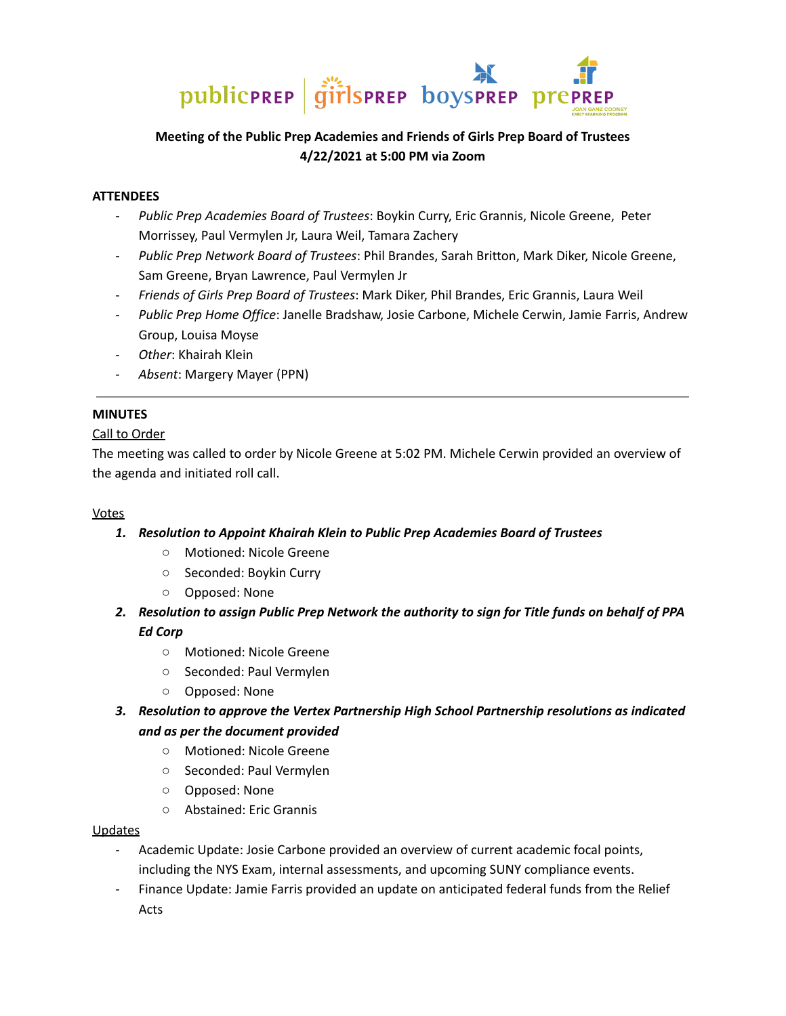

# **Meeting of the Public Prep Academies and Friends of Girls Prep Board of Trustees 4/22/2021 at 5:00 PM via Zoom**

# **ATTENDEES**

- *Public Prep Academies Board of Trustees*: Boykin Curry, Eric Grannis, Nicole Greene, Peter Morrissey, Paul Vermylen Jr, Laura Weil, Tamara Zachery
- *Public Prep Network Board of Trustees*: Phil Brandes, Sarah Britton, Mark Diker, Nicole Greene, Sam Greene, Bryan Lawrence, Paul Vermylen Jr
- *Friends of Girls Prep Board of Trustees*: Mark Diker, Phil Brandes, Eric Grannis, Laura Weil
- *Public Prep Home Office*: Janelle Bradshaw, Josie Carbone, Michele Cerwin, Jamie Farris, Andrew Group, Louisa Moyse
- *Other*: Khairah Klein
- *Absent*: Margery Mayer (PPN)

### **MINUTES**

### Call to Order

The meeting was called to order by Nicole Greene at 5:02 PM. Michele Cerwin provided an overview of the agenda and initiated roll call.

### Votes

- *1. Resolution to Appoint Khairah Klein to Public Prep Academies Board of Trustees*
	- Motioned: Nicole Greene
	- Seconded: Boykin Curry
	- Opposed: None
- *2. Resolution to assign Public Prep Network the authority to sign for Title funds on behalf of PPA Ed Corp*
	- Motioned: Nicole Greene
	- Seconded: Paul Vermylen
	- Opposed: None
- *3. Resolution to approve the Vertex Partnership High School Partnership resolutions as indicated and as per the document provided*
	- Motioned: Nicole Greene
	- Seconded: Paul Vermylen
	- Opposed: None
	- Abstained: Eric Grannis

### Updates

- Academic Update: Josie Carbone provided an overview of current academic focal points, including the NYS Exam, internal assessments, and upcoming SUNY compliance events.
- Finance Update: Jamie Farris provided an update on anticipated federal funds from the Relief Acts